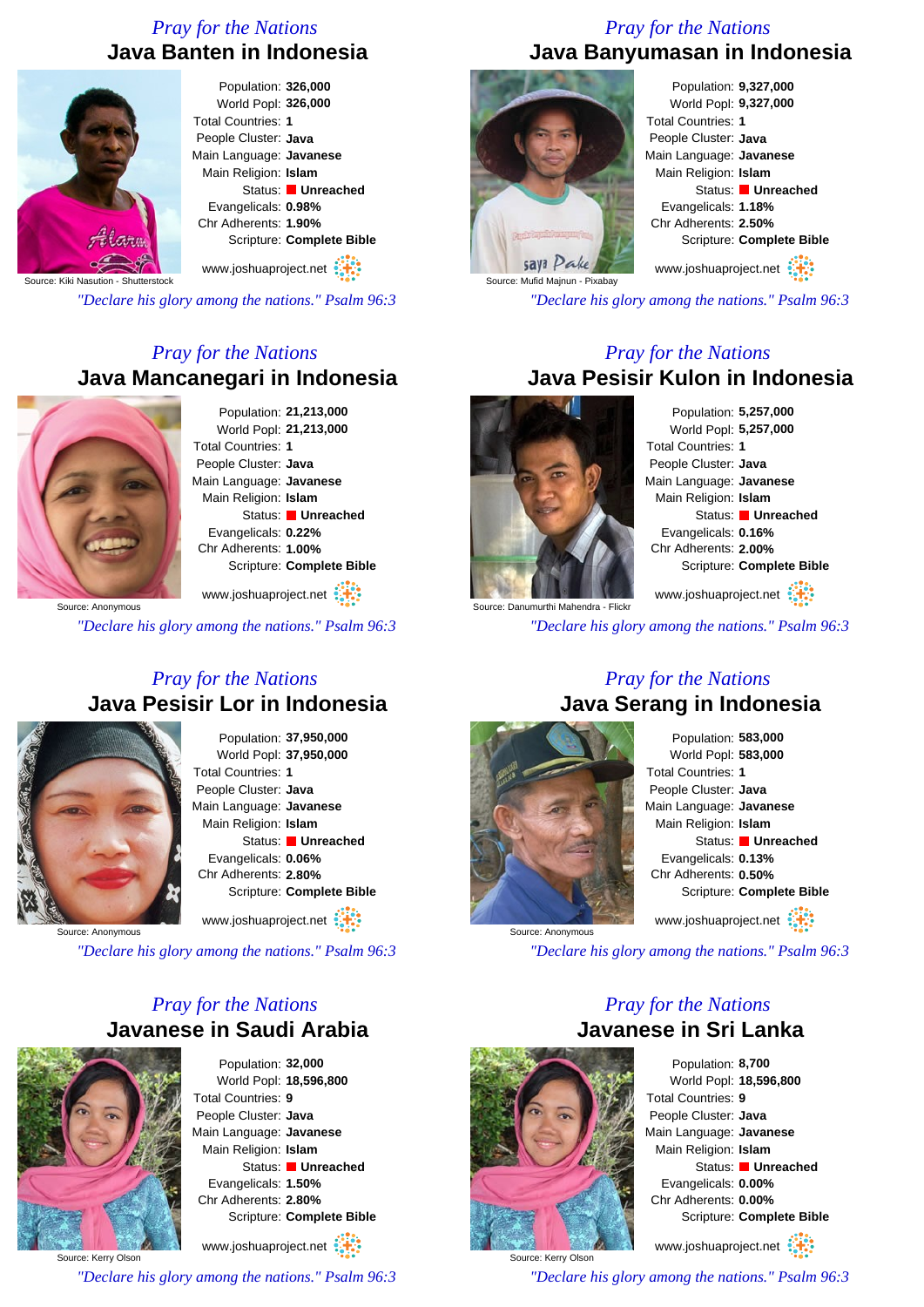### *Pray for the Nations* **Java Banten in Indonesia**



#### Population: **326,000** World Popl: **326,000** Total Countries: **1** People Cluster: **Java** Main Language: **Javanese** Main Religion: **Islam** Status: **Unreached** Evangelicals: **0.98%** Chr Adherents: **1.90%** Scripture: **Complete Bible**

www.joshuaproject.net

Source: Kiki Nasution - Shutterstock

*"Declare his glory among the nations." Psalm 96:3*

## *Pray for the Nations* **Java Mancanegari in Indonesia**



Population: **21,213,000** World Popl: **21,213,000** Total Countries: **1** People Cluster: **Java** Main Language: **Javanese** Main Religion: **Islam** Status: **Unreached** Evangelicals: **0.22%** Chr Adherents: **1.00%** Scripture: **Complete Bible**

www.joshuaproject.net

*"Declare his glory among the nations." Psalm 96:3*

### *Pray for the Nations* **Java Pesisir Lor in Indonesia**



Population: **37,950,000** World Popl: **37,950,000** Total Countries: **1** People Cluster: **Java** Main Language: **Javanese** Main Religion: **Islam** Status: **Unreached** Evangelicals: **0.06%** Chr Adherents: **2.80%** Scripture: **Complete Bible**

www.joshuaproject.net

Source: Anonymous

*"Declare his glory among the nations." Psalm 96:3*

### *Pray for the Nations* **Javanese in Saudi Arabia**



Population: **32,000** World Popl: **18,596,800** Total Countries: **9** People Cluster: **Java** Main Language: **Javanese** Main Religion: **Islam** Status: **Unreached** Evangelicals: **1.50%** Chr Adherents: **2.80%** Scripture: **Complete Bible** www.joshuaproject.net

Source: Kerry Olson *"Declare his glory among the nations." Psalm 96:3*

#### *Pray for the Nations* **Java Banyumasan in Indonesia**



Population: **9,327,000** World Popl: **9,327,000** Total Countries: **1** People Cluster: **Java** Main Language: **Javanese** Main Religion: **Islam** Status: **Unreached** Evangelicals: **1.18%** Chr Adherents: **2.50%** Scripture: **Complete Bible** www.joshuaproject.net

*"Declare his glory among the nations." Psalm 96:3*

#### *Pray for the Nations* **Java Pesisir Kulon in Indonesia**



Population: **5,257,000** World Popl: **5,257,000** Total Countries: **1** People Cluster: **Java** Main Language: **Javanese** Main Religion: **Islam** Status: **Unreached** Evangelicals: **0.16%** Chr Adherents: **2.00%** Scripture: **Complete Bible** www.joshuaproject.net

*"Declare his glory among the nations." Psalm 96:3*

#### *Pray for the Nations* **Java Serang in Indonesia**



Population: **583,000** World Popl: **583,000** Total Countries: **1** People Cluster: **Java** Main Language: **Javanese** Main Religion: **Islam** Status: **Unreached** Evangelicals: **0.13%** Chr Adherents: **0.50%** Scripture: **Complete Bible** www.joshuaproject.net

*"Declare his glory among the nations." Psalm 96:3*

#### *Pray for the Nations* **Javanese in Sri Lanka**



Source: Kerry Olson

Population: **8,700** World Popl: **18,596,800** Total Countries: **9** People Cluster: **Java** Main Language: **Javanese** Main Religion: **Islam** Status: **Unreached** Evangelicals: **0.00%** Chr Adherents: **0.00%** Scripture: **Complete Bible** www.joshuaproject.net

*"Declare his glory among the nations." Psalm 96:3*